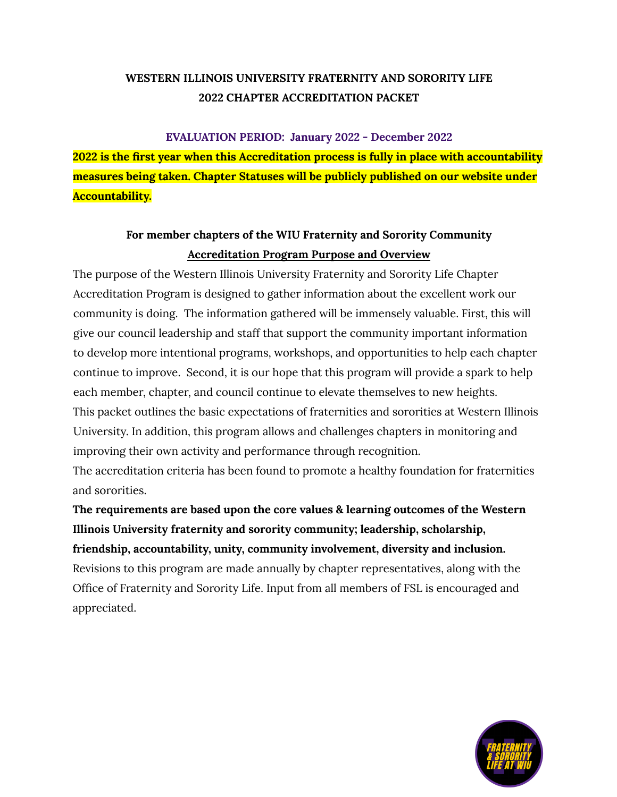#### **EVALUATION PERIOD: January 2022 - December 2022**

**2022 is the first year when this Accreditation process is fully in place with accountability measures being taken. Chapter Statuses will be publicly published on our website under Accountability.**

# **For member chapters of the WIU Fraternity and Sorority Community Accreditation Program Purpose and Overview**

The purpose of the Western Illinois University Fraternity and Sorority Life Chapter Accreditation Program is designed to gather information about the excellent work our community is doing. The information gathered will be immensely valuable. First, this will give our council leadership and staff that support the community important information to develop more intentional programs, workshops, and opportunities to help each chapter continue to improve. Second, it is our hope that this program will provide a spark to help each member, chapter, and council continue to elevate themselves to new heights. This packet outlines the basic expectations of fraternities and sororities at Western Illinois University. In addition, this program allows and challenges chapters in monitoring and improving their own activity and performance through recognition.

The accreditation criteria has been found to promote a healthy foundation for fraternities and sororities.

**The requirements are based upon the core values & learning outcomes of the Western Illinois University fraternity and sorority community; leadership, scholarship, friendship, accountability, unity, community involvement, diversity and inclusion.** Revisions to this program are made annually by chapter representatives, along with the Office of Fraternity and Sorority Life. Input from all members of FSL is encouraged and appreciated.

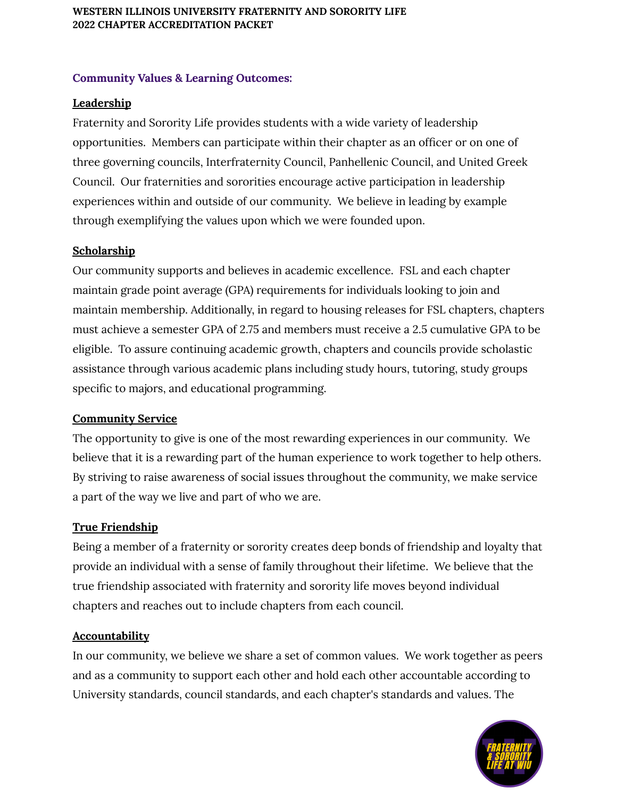#### **Community Values & Learning Outcomes:**

# **Leadership**

Fraternity and Sorority Life provides students with a wide variety of leadership opportunities. Members can participate within their chapter as an officer or on one of three governing councils, Interfraternity Council, Panhellenic Council, and United Greek Council. Our fraternities and sororities encourage active participation in leadership experiences within and outside of our community. We believe in leading by example through exemplifying the values upon which we were founded upon.

### **Scholarship**

Our community supports and believes in academic excellence. FSL and each chapter maintain grade point average (GPA) requirements for individuals looking to join and maintain membership. Additionally, in regard to housing releases for FSL chapters, chapters must achieve a semester GPA of 2.75 and members must receive a 2.5 cumulative GPA to be eligible. To assure continuing academic growth, chapters and councils provide scholastic assistance through various academic plans including study hours, tutoring, study groups specific to majors, and educational programming.

### **Community Service**

The opportunity to give is one of the most rewarding experiences in our community. We believe that it is a rewarding part of the human experience to work together to help others. By striving to raise awareness of social issues throughout the community, we make service a part of the way we live and part of who we are.

### **True Friendship**

Being a member of a fraternity or sorority creates deep bonds of friendship and loyalty that provide an individual with a sense of family throughout their lifetime. We believe that the true friendship associated with fraternity and sorority life moves beyond individual chapters and reaches out to include chapters from each council.

# **Accountability**

In our community, we believe we share a set of common values. We work together as peers and as a community to support each other and hold each other accountable according to University standards, council standards, and each chapter's standards and values. The

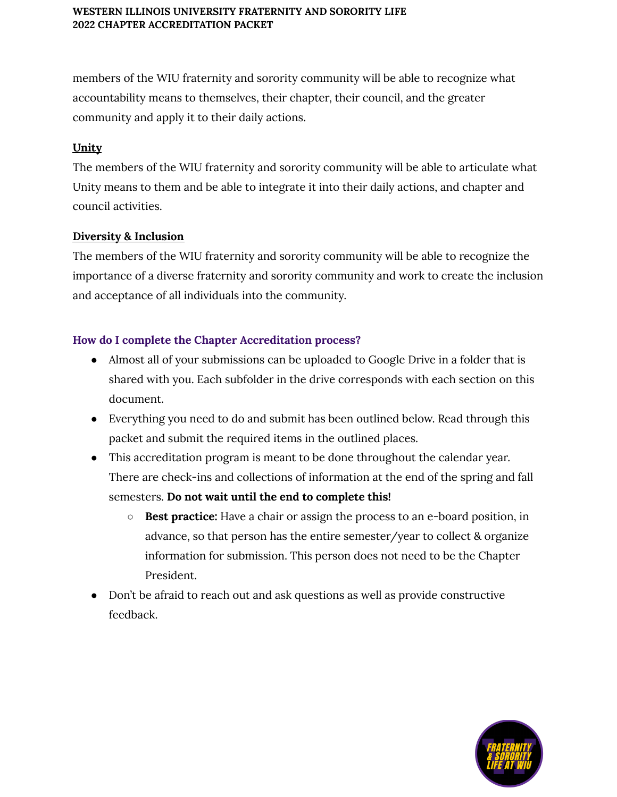members of the WIU fraternity and sorority community will be able to recognize what accountability means to themselves, their chapter, their council, and the greater community and apply it to their daily actions.

# **Unity**

The members of the WIU fraternity and sorority community will be able to articulate what Unity means to them and be able to integrate it into their daily actions, and chapter and council activities.

### **Diversity & Inclusion**

The members of the WIU fraternity and sorority community will be able to recognize the importance of a diverse fraternity and sorority community and work to create the inclusion and acceptance of all individuals into the community.

# **How do I complete the Chapter Accreditation process?**

- Almost all of your submissions can be uploaded to Google Drive in a folder that is shared with you. Each subfolder in the drive corresponds with each section on this document.
- Everything you need to do and submit has been outlined below. Read through this packet and submit the required items in the outlined places.
- This accreditation program is meant to be done throughout the calendar year. There are check-ins and collections of information at the end of the spring and fall semesters. **Do not wait until the end to complete this!**
	- **○ Best practice:** Have a chair or assign the process to an e-board position, in advance, so that person has the entire semester/year to collect & organize information for submission. This person does not need to be the Chapter President.
- Don't be afraid to reach out and ask questions as well as provide constructive feedback.

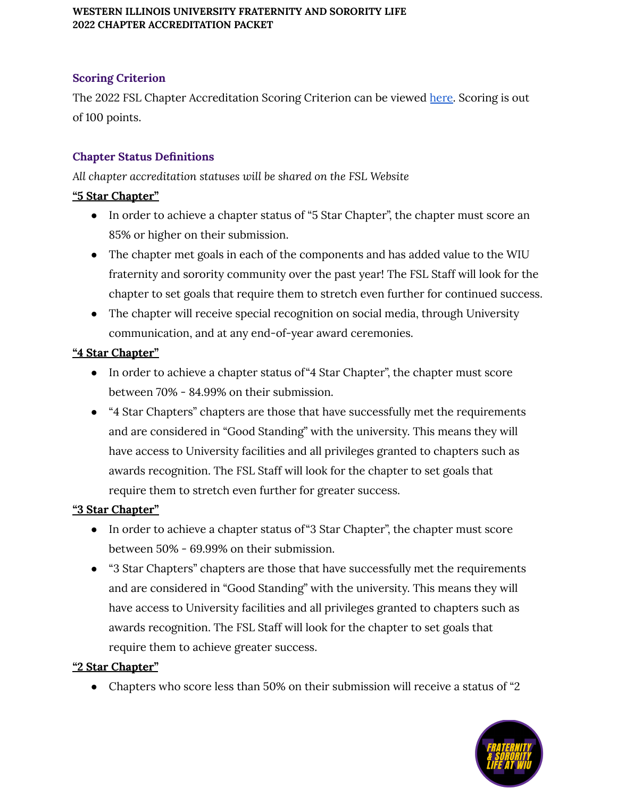# **Scoring Criterion**

The 2022 FSL Chapter Accreditation Scoring Criterion can be viewed [here.](https://docs.google.com/spreadsheets/d/1V5ZNtaOez7xJeD-BDKJVhP0G7gquQynst5uHUvA1pWE/edit?usp=sharing) Scoring is out of 100 points.

# **Chapter Status Definitions**

*All chapter accreditation statuses will be shared on the FSL Website*

### **"5 Star Chapter"**

- In order to achieve a chapter status of "5 Star Chapter", the chapter must score an 85% or higher on their submission.
- The chapter met goals in each of the components and has added value to the WIU fraternity and sorority community over the past year! The FSL Staff will look for the chapter to set goals that require them to stretch even further for continued success.
- The chapter will receive special recognition on social media, through University communication, and at any end-of-year award ceremonies.

### **"4 Star Chapter"**

- In order to achieve a chapter status of "4 Star Chapter", the chapter must score between 70% - 84.99% on their submission.
- "4 Star Chapters" chapters are those that have successfully met the requirements and are considered in "Good Standing" with the university. This means they will have access to University facilities and all privileges granted to chapters such as awards recognition. The FSL Staff will look for the chapter to set goals that require them to stretch even further for greater success.

### **"3 Star Chapter"**

- In order to achieve a chapter status of "3 Star Chapter", the chapter must score between 50% - 69.99% on their submission.
- "3 Star Chapters" chapters are those that have successfully met the requirements and are considered in "Good Standing" with the university. This means they will have access to University facilities and all privileges granted to chapters such as awards recognition. The FSL Staff will look for the chapter to set goals that require them to achieve greater success.

# **"2 Star Chapter"**

• Chapters who score less than 50% on their submission will receive a status of "2"

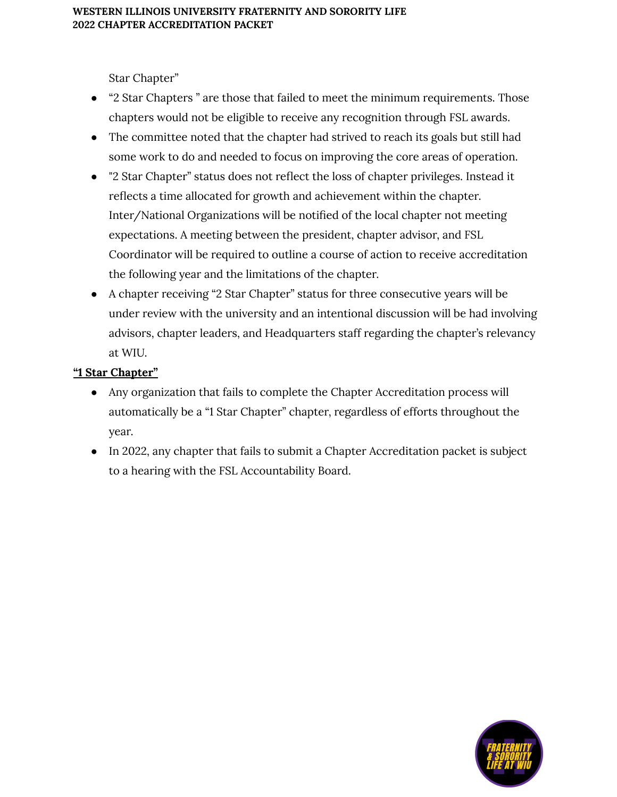Star Chapter"

- "2 Star Chapters " are those that failed to meet the minimum requirements. Those chapters would not be eligible to receive any recognition through FSL awards.
- The committee noted that the chapter had strived to reach its goals but still had some work to do and needed to focus on improving the core areas of operation.
- "2 Star Chapter" status does not reflect the loss of chapter privileges. Instead it reflects a time allocated for growth and achievement within the chapter. Inter/National Organizations will be notified of the local chapter not meeting expectations. A meeting between the president, chapter advisor, and FSL Coordinator will be required to outline a course of action to receive accreditation the following year and the limitations of the chapter.
- A chapter receiving "2 Star Chapter" status for three consecutive years will be under review with the university and an intentional discussion will be had involving advisors, chapter leaders, and Headquarters staff regarding the chapter's relevancy at WIU.

# **"1 Star Chapter"**

- Any organization that fails to complete the Chapter Accreditation process will automatically be a "1 Star Chapter" chapter, regardless of efforts throughout the year.
- In 2022, any chapter that fails to submit a Chapter Accreditation packet is subject to a hearing with the FSL Accountability Board.

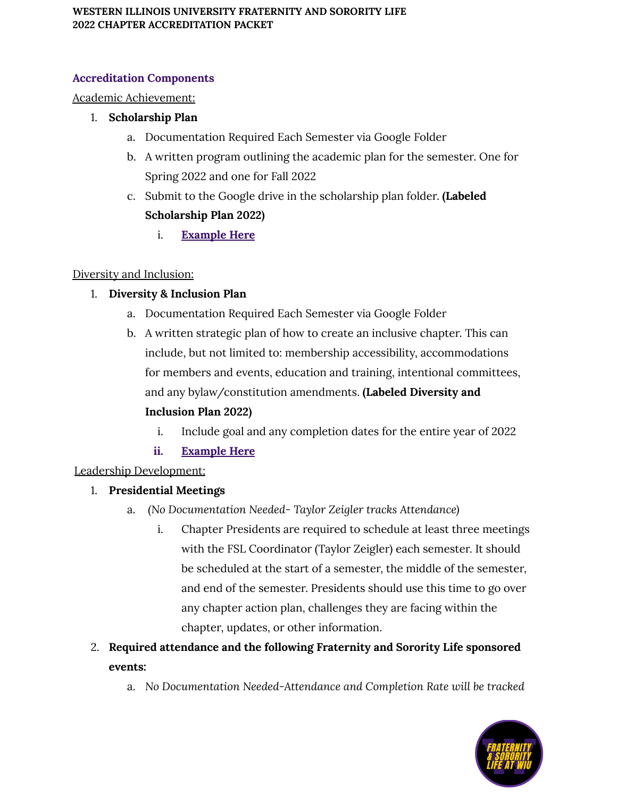# **Accreditation Components**

# Academic Achievement:

### 1. **Scholarship Plan**

- a. Documentation Required Each Semester via Google Folder
- b. A written program outlining the academic plan for the semester. One for Spring 2022 and one for Fall 2022
- c. Submit to the Google drive in the scholarship plan folder. **(Labeled Scholarship Plan 2022)**
	- i. **[Example](https://docs.google.com/document/d/1ddXyPmCj3v8DOsIxrVdU4J6c3O_0z-1f_pyJ8c_Fw-s/edit?usp=sharing) Here**

### Diversity and Inclusion:

### 1. **Diversity & Inclusion Plan**

- a. Documentation Required Each Semester via Google Folder
- b. A written strategic plan of how to create an inclusive chapter. This can include, but not limited to: membership accessibility, accommodations for members and events, education and training, intentional committees, and any bylaw/constitution amendments. **(Labeled Diversity and**

# **Inclusion Plan 2022)**

- i. Include goal and any completion dates for the entire year of 2022
- **ii. [Example](https://docs.google.com/document/d/1LhsE5iAZCKojlwPIHPZcaTkbumvkBTy2EGydAvc79YQ/edit?usp=sharing) Here**

# Leadership Development:

# 1. **Presidential Meetings**

- a. *(No Documentation Needed- Taylor Zeigler tracks Attendance)*
	- i. Chapter Presidents are required to schedule at least three meetings with the FSL Coordinator (Taylor Zeigler) each semester. It should be scheduled at the start of a semester, the middle of the semester, and end of the semester. Presidents should use this time to go over any chapter action plan, challenges they are facing within the chapter, updates, or other information.
- 2. **Required attendance and the following Fraternity and Sorority Life sponsored events:**
	- a. *No Documentation Needed-Attendance and Completion Rate will be tracked*

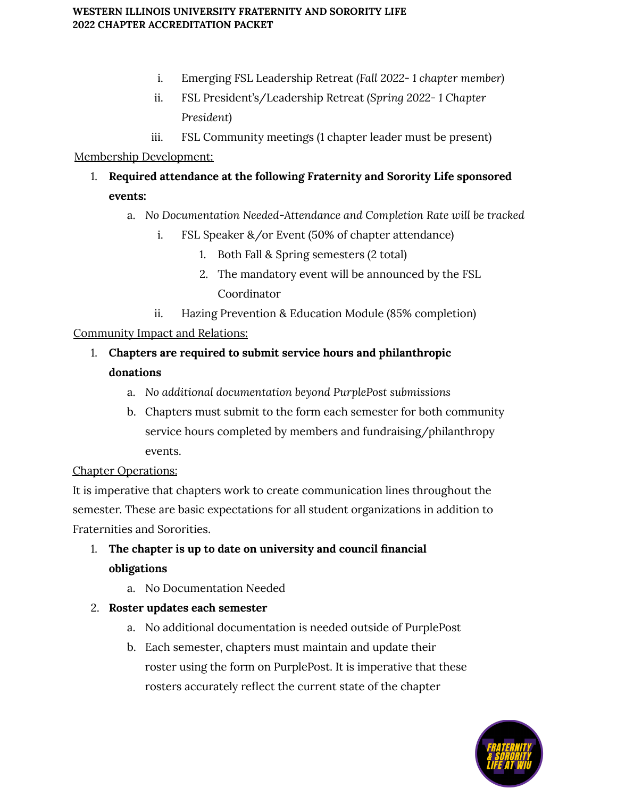- i. Emerging FSL Leadership Retreat *(Fall 2022- 1 chapter member)*
- ii. FSL President's/Leadership Retreat *(Spring 2022- 1 Chapter President)*
- iii. FSL Community meetings (1 chapter leader must be present)

### Membership Development:

- 1. **Required attendance at the following Fraternity and Sorority Life sponsored events:**
	- a. *No Documentation Needed-Attendance and Completion Rate will be tracked*
		- i. FSL Speaker &/or Event (50% of chapter attendance)
			- 1. Both Fall & Spring semesters (2 total)
			- 2. The mandatory event will be announced by the FSL Coordinator
		- ii. Hazing Prevention & Education Module (85% completion)

### Community Impact and Relations:

- 1. **Chapters are required to submit service hours and philanthropic donations**
	- a. *No additional documentation beyond PurplePost submissions*
	- b. Chapters must submit to the form each semester for both community service hours completed by members and fundraising/philanthropy events.

### Chapter Operations:

It is imperative that chapters work to create communication lines throughout the semester. These are basic expectations for all student organizations in addition to Fraternities and Sororities.

# 1. **The chapter is up to date on university and council financial obligations**

a. No Documentation Needed

# 2. **Roster updates each semester**

- a. No additional documentation is needed outside of PurplePost
- b. Each semester, chapters must maintain and update their roster using the form on PurplePost. It is imperative that these rosters accurately reflect the current state of the chapter

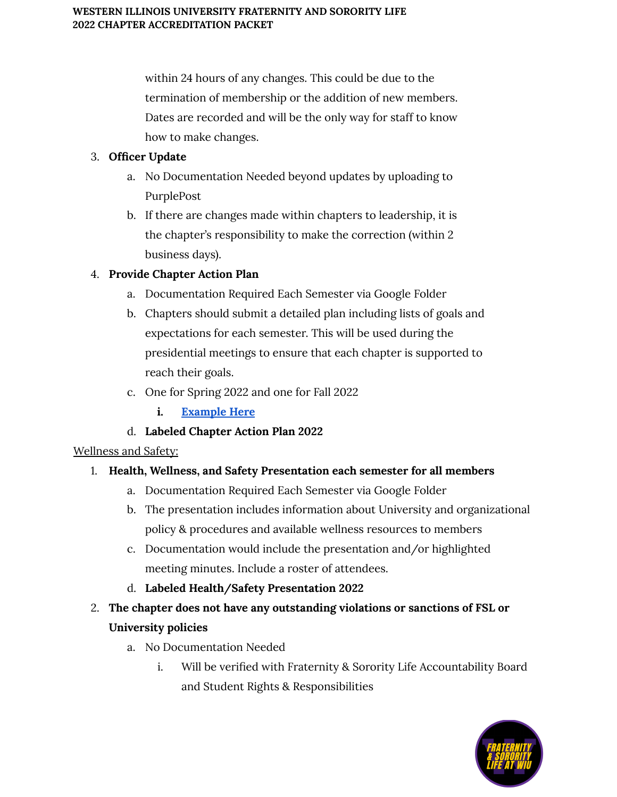within 24 hours of any changes. This could be due to the termination of membership or the addition of new members. Dates are recorded and will be the only way for staff to know how to make changes.

### 3. **Officer Update**

- a. No Documentation Needed beyond updates by uploading to PurplePost
- b. If there are changes made within chapters to leadership, it is the chapter's responsibility to make the correction (within 2 business days).

# 4. **Provide Chapter Action Plan**

- a. Documentation Required Each Semester via Google Folder
- b. Chapters should submit a detailed plan including lists of goals and expectations for each semester. This will be used during the presidential meetings to ensure that each chapter is supported to reach their goals.
- c. One for Spring 2022 and one for Fall 2022
	- **i. [Example](https://docs.google.com/document/d/1AlN-vtpdIYAHu8Te5hsP4v0r3wkLUFR_OjQuPn6u0fs/edit?usp=sharing) Here**
- d. **Labeled Chapter Action Plan 2022**

### Wellness and Safety:

# 1. **Health, Wellness, and Safety Presentation each semester for all members**

- a. Documentation Required Each Semester via Google Folder
- b. The presentation includes information about University and organizational policy & procedures and available wellness resources to members
- c. Documentation would include the presentation and/or highlighted meeting minutes. Include a roster of attendees.
- d. **Labeled Health/Safety Presentation 2022**
- 2. **The chapter does not have any outstanding violations or sanctions of FSL or University policies**
	- a. No Documentation Needed
		- i. Will be verified with Fraternity & Sorority Life Accountability Board and Student Rights & Responsibilities

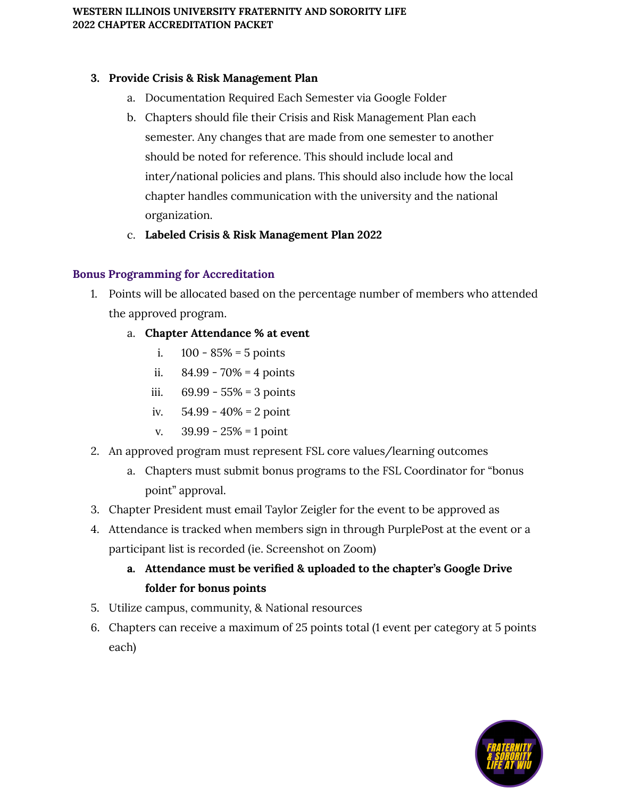### **3. Provide Crisis & Risk Management Plan**

- a. Documentation Required Each Semester via Google Folder
- b. Chapters should file their Crisis and Risk Management Plan each semester. Any changes that are made from one semester to another should be noted for reference. This should include local and inter/national policies and plans. This should also include how the local chapter handles communication with the university and the national organization.
- c. **Labeled Crisis & Risk Management Plan 2022**

### **Bonus Programming for Accreditation**

- 1. Points will be allocated based on the percentage number of members who attended the approved program.
	- a. **Chapter Attendance % at event**
		- i.  $100 85\% = 5$  points
		- ii.  $84.99 70\% = 4 \text{ points}$
		- iii. 69.99 55% = 3 points
		- iv.  $54.99 40\% = 2$  point
		- v.  $39.99 25\% = 1$  point
- 2. An approved program must represent FSL core values/learning outcomes
	- a. Chapters must submit bonus programs to the FSL Coordinator for "bonus point" approval.
- 3. Chapter President must email Taylor Zeigler for the event to be approved as
- 4. Attendance is tracked when members sign in through PurplePost at the event or a participant list is recorded (ie. Screenshot on Zoom)

# **a. Attendance must be verified & uploaded to the chapter's Google Drive folder for bonus points**

- 5. Utilize campus, community, & National resources
- 6. Chapters can receive a maximum of 25 points total (1 event per category at 5 points each)